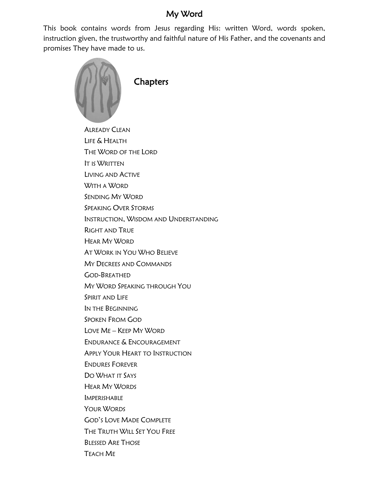### My Word

This book contains words from Jesus regarding His: written Word, words spoken, instruction given, the trustworthy and faithful nature of His Father, and the covenants and promises They have made to us.

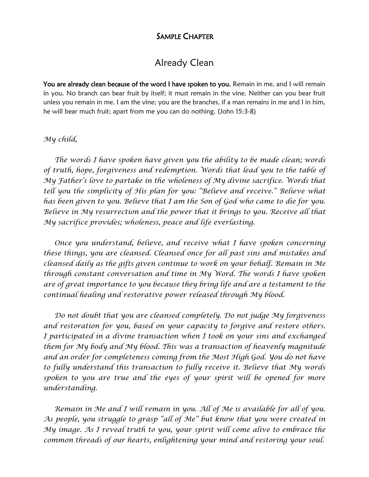#### SAMPLE CHAPTER

## Already Clean

You are already clean because of the word I have spoken to you. Remain in me, and I will remain in you. No branch can bear fruit by itself; it must remain in the vine. Neither can you bear fruit unless you remain in me. I am the vine; you are the branches, if a man remains in me and I in him, he will bear much fruit; apart from me you can do nothing. (John 15:3-8)

#### *My child,*

 *The words I have spoken have given you the ability to be made clean; words of truth, hope, forgiveness and redemption. Words that lead you to the table of My Father's love to partake in the wholeness of My divine sacrifice. Words that tell you the simplicity of His plan for you: "Believe and receive." Believe what has been given to you. Believe that I am the Son of God who came to die for you. Believe in My resurrection and the power that it brings to you. Receive all that My sacrifice provides; wholeness, peace and life everlasting.*

 *Once you understand, believe, and receive what I have spoken concerning these things, you are cleansed. Cleansed once for all past sins and mistakes and cleansed daily as the gifts given continue to work on your behalf. Remain in Me through constant conversation and time in My Word. The words I have spoken are of great importance to you because they bring life and are a testament to the continual healing and restorative power released through My blood.*

 *Do not doubt that you are cleansed completely. Do not judge My forgiveness and restoration for you, based on your capacity to forgive and restore others. I participated in a divine transaction when I took on your sins and exchanged them for My body and My blood. This was a transaction of heavenly magnitude and an order for completeness coming from the Most High God. You do not have to fully understand this transaction to fully receive it. Believe that My words spoken to you are true and the eyes of your spirit will be opened for more understanding.*

 *Remain in Me and I will remain in you. All of Me is available for all of you. As people, you struggle to grasp "all of Me" but know that you were created in My image. As I reveal truth to you, your spirit will come alive to embrace the common threads of our hearts, enlightening your mind and restoring your soul.*